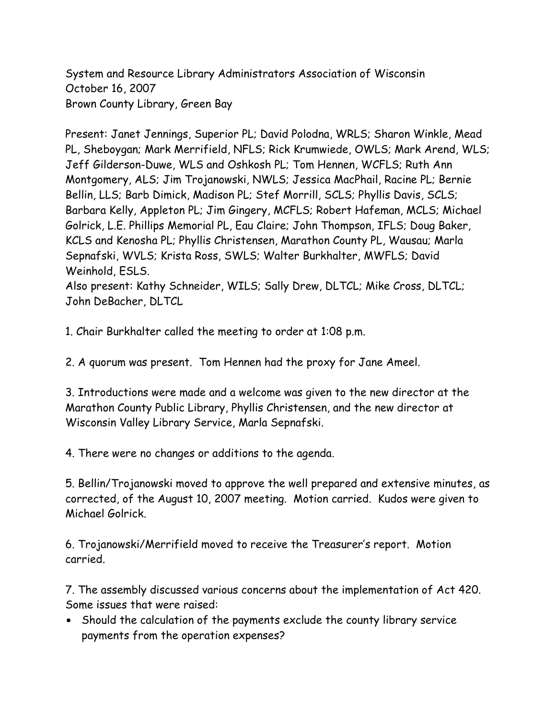System and Resource Library Administrators Association of Wisconsin October 16, 2007 Brown County Library, Green Bay

Present: Janet Jennings, Superior PL; David Polodna, WRLS; Sharon Winkle, Mead PL, Sheboygan; Mark Merrifield, NFLS; Rick Krumwiede, OWLS; Mark Arend, WLS; Jeff Gilderson-Duwe, WLS and Oshkosh PL; Tom Hennen, WCFLS; Ruth Ann Montgomery, ALS; Jim Trojanowski, NWLS; Jessica MacPhail, Racine PL; Bernie Bellin, LLS; Barb Dimick, Madison PL; Stef Morrill, SCLS; Phyllis Davis, SCLS; Barbara Kelly, Appleton PL; Jim Gingery, MCFLS; Robert Hafeman, MCLS; Michael Golrick, L.E. Phillips Memorial PL, Eau Claire; John Thompson, IFLS; Doug Baker, KCLS and Kenosha PL; Phyllis Christensen, Marathon County PL, Wausau; Marla Sepnafski, WVLS; Krista Ross, SWLS; Walter Burkhalter, MWFLS; David Weinhold, ESLS.

Also present: Kathy Schneider, WILS; Sally Drew, DLTCL; Mike Cross, DLTCL; John DeBacher, DLTCL

1. Chair Burkhalter called the meeting to order at 1:08 p.m.

2. A quorum was present. Tom Hennen had the proxy for Jane Ameel.

3. Introductions were made and a welcome was given to the new director at the Marathon County Public Library, Phyllis Christensen, and the new director at Wisconsin Valley Library Service, Marla Sepnafski.

4. There were no changes or additions to the agenda.

5. Bellin/Trojanowski moved to approve the well prepared and extensive minutes, as corrected, of the August 10, 2007 meeting. Motion carried. Kudos were given to Michael Golrick.

6. Trojanowski/Merrifield moved to receive the Treasurer's report. Motion carried.

7. The assembly discussed various concerns about the implementation of Act 420. Some issues that were raised:

• Should the calculation of the payments exclude the county library service payments from the operation expenses?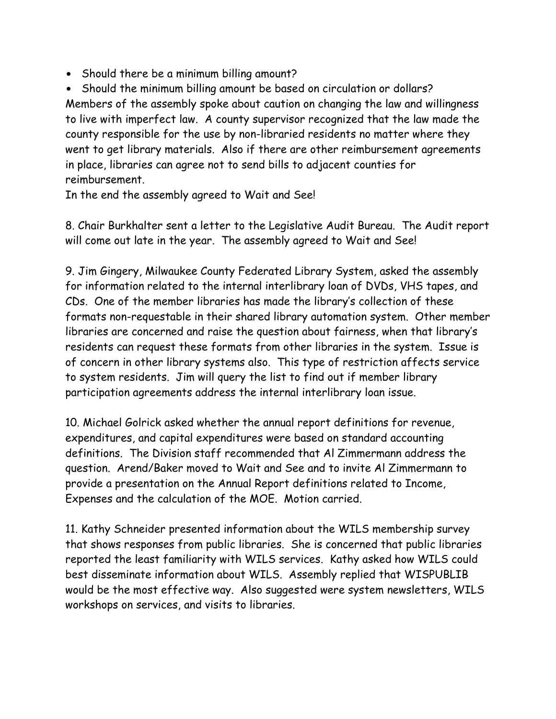• Should there be a minimum billing amount?

• Should the minimum billing amount be based on circulation or dollars? Members of the assembly spoke about caution on changing the law and willingness to live with imperfect law. A county supervisor recognized that the law made the county responsible for the use by non-libraried residents no matter where they went to get library materials. Also if there are other reimbursement agreements in place, libraries can agree not to send bills to adjacent counties for reimbursement.

In the end the assembly agreed to Wait and See!

8. Chair Burkhalter sent a letter to the Legislative Audit Bureau. The Audit report will come out late in the year. The assembly agreed to Wait and See!

9. Jim Gingery, Milwaukee County Federated Library System, asked the assembly for information related to the internal interlibrary loan of DVDs, VHS tapes, and CDs. One of the member libraries has made the library's collection of these formats non-requestable in their shared library automation system. Other member libraries are concerned and raise the question about fairness, when that library's residents can request these formats from other libraries in the system. Issue is of concern in other library systems also. This type of restriction affects service to system residents. Jim will query the list to find out if member library participation agreements address the internal interlibrary loan issue.

10. Michael Golrick asked whether the annual report definitions for revenue, expenditures, and capital expenditures were based on standard accounting definitions. The Division staff recommended that Al Zimmermann address the question. Arend/Baker moved to Wait and See and to invite Al Zimmermann to provide a presentation on the Annual Report definitions related to Income, Expenses and the calculation of the MOE. Motion carried.

11. Kathy Schneider presented information about the WILS membership survey that shows responses from public libraries. She is concerned that public libraries reported the least familiarity with WILS services. Kathy asked how WILS could best disseminate information about WILS. Assembly replied that WISPUBLIB would be the most effective way. Also suggested were system newsletters, WILS workshops on services, and visits to libraries.